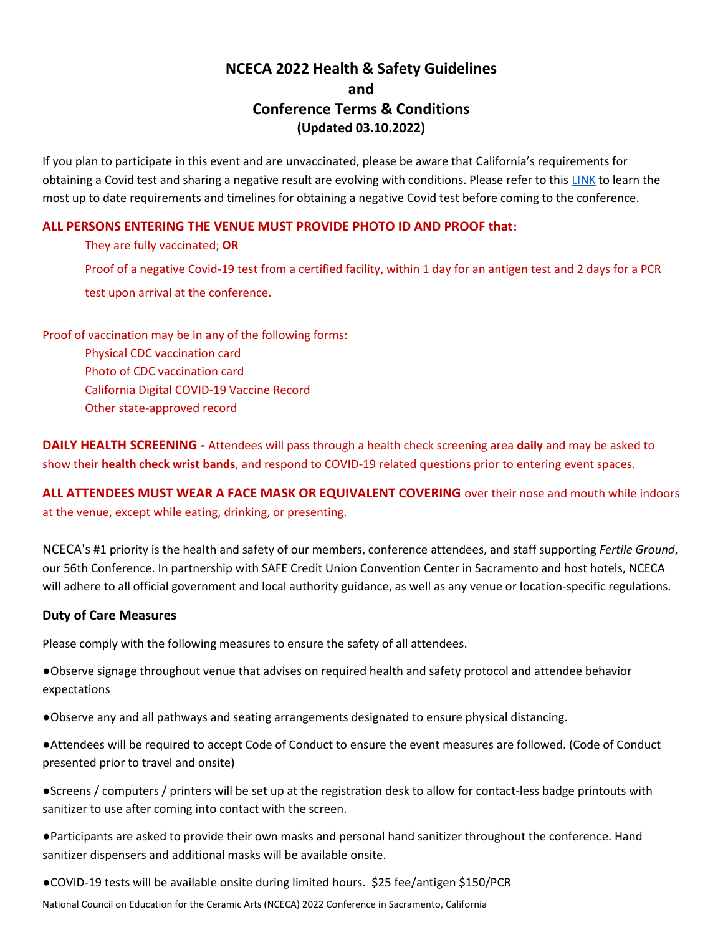## **NCECA 2022 Health & Safety Guidelines and Conference Terms & Conditions (Updated 03.10.2022)**

If you plan to participate in this event and are unvaccinated, please be aware that California's requirements for obtaining a Covid test and sharing a negative result are evolving with conditions. Please refer to this [LINK](https://www.cdph.ca.gov/Programs/CID/DCDC/Pages/COVID-19/Beyond-Blueprint-Framework.aspx) to learn the most up to date requirements and timelines for obtaining a negative Covid test before coming to the conference.

## **ALL PERSONS ENTERING THE VENUE MUST PROVIDE PHOTO ID AND PROOF that:**

They are fully vaccinated; **OR** Proof of a negative Covid-19 test from a certified facility, within 1 day for an antigen test and 2 days for a PCR test upon arrival at the conference.

Proof of vaccination may be in any of the following forms: Physical CDC vaccination card Photo of CDC vaccination card

California Digital COVID-19 Vaccine Record

Other state-approved record

**DAILY HEALTH SCREENING -** Attendees will pass through a health check screening area **daily** and may be asked to show their **health check wrist bands**, and respond to COVID-19 related questions prior to entering event spaces.

**ALL ATTENDEES MUST WEAR A FACE MASK OR EQUIVALENT COVERING** over their nose and mouth while indoors at the venue, except while eating, drinking, or presenting.

NCECA's #1 priority is the health and safety of our members, conference attendees, and staff supporting *Fertile Ground*, our 56th Conference. In partnership with SAFE Credit Union Convention Center in Sacramento and host hotels, NCECA will adhere to all official government and local authority guidance, as well as any venue or location-specific regulations.

## **Duty of Care Measures**

Please comply with the following measures to ensure the safety of all attendees.

●Observe signage throughout venue that advises on required health and safety protocol and attendee behavior expectations

●Observe any and all pathways and seating arrangements designated to ensure physical distancing.

●Attendees will be required to accept Code of Conduct to ensure the event measures are followed. (Code of Conduct presented prior to travel and onsite)

●Screens / computers / printers will be set up at the registration desk to allow for contact-less badge printouts with sanitizer to use after coming into contact with the screen.

●Participants are asked to provide their own masks and personal hand sanitizer throughout the conference. Hand sanitizer dispensers and additional masks will be available onsite.

●COVID-19 tests will be available onsite during limited hours. \$25 fee/antigen \$150/PCR

National Council on Education for the Ceramic Arts (NCECA) 2022 Conference in Sacramento, California